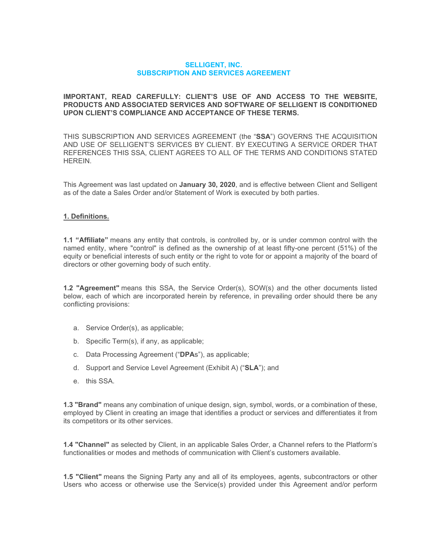#### **SELLIGENT, INC. SUBSCRIPTION AND SERVICES AGREEMENT**

#### **IMPORTANT, READ CAREFULLY: CLIENT'S USE OF AND ACCESS TO THE WEBSITE, PRODUCTS AND ASSOCIATED SERVICES AND SOFTWARE OF SELLIGENT IS CONDITIONED UPON CLIENT'S COMPLIANCE AND ACCEPTANCE OF THESE TERMS.**

THIS SUBSCRIPTION AND SERVICES AGREEMENT (the "**SSA**") GOVERNS THE ACQUISITION AND USE OF SELLIGENT'S SERVICES BY CLIENT. BY EXECUTING A SERVICE ORDER THAT REFERENCES THIS SSA, CLIENT AGREES TO ALL OF THE TERMS AND CONDITIONS STATED HEREIN.

This Agreement was last updated on **January 30, 2020**, and is effective between Client and Selligent as of the date a Sales Order and/or Statement of Work is executed by both parties.

#### **1. Definitions.**

**1.1 "Affiliate"** means any entity that controls, is controlled by, or is under common control with the named entity, where "control" is defined as the ownership of at least fifty-one percent (51%) of the equity or beneficial interests of such entity or the right to vote for or appoint a majority of the board of directors or other governing body of such entity.

**1.2 "Agreement"** means this SSA, the Service Order(s), SOW(s) and the other documents listed below, each of which are incorporated herein by reference, in prevailing order should there be any conflicting provisions:

- a. Service Order(s), as applicable;
- b. Specific Term(s), if any, as applicable;
- c. Data Processing Agreement ("**DPA**s"), as applicable;
- d. Support and Service Level Agreement (Exhibit A) ("**SLA**"); and
- e. this SSA.

**1.3 "Brand"** means any combination of unique design, sign, symbol, words, or a combination of these, employed by Client in creating an image that identifies a product or services and differentiates it from its competitors or its other services.

**1.4 "Channel"** as selected by Client, in an applicable Sales Order, a Channel refers to the Platform's functionalities or modes and methods of communication with Client's customers available.

**1.5 "Client"** means the Signing Party any and all of its employees, agents, subcontractors or other Users who access or otherwise use the Service(s) provided under this Agreement and/or perform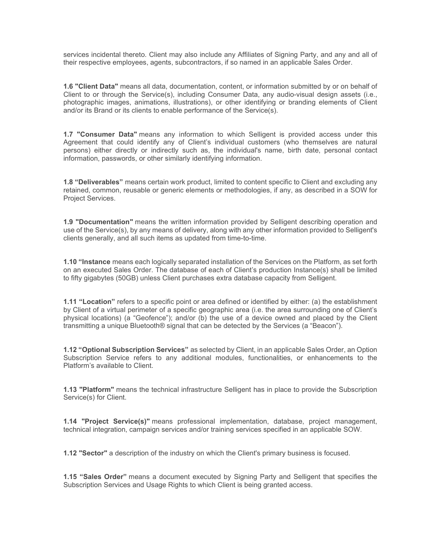services incidental thereto. Client may also include any Affiliates of Signing Party, and any and all of their respective employees, agents, subcontractors, if so named in an applicable Sales Order.

**1.6 "Client Data"** means all data, documentation, content, or information submitted by or on behalf of Client to or through the Service(s), including Consumer Data, any audio-visual design assets (i.e., photographic images, animations, illustrations), or other identifying or branding elements of Client and/or its Brand or its clients to enable performance of the Service(s).

**1.7 "Consumer Data"** means any information to which Selligent is provided access under this Agreement that could identify any of Client's individual customers (who themselves are natural persons) either directly or indirectly such as, the individual's name, birth date, personal contact information, passwords, or other similarly identifying information.

**1.8 "Deliverables"** means certain work product, limited to content specific to Client and excluding any retained, common, reusable or generic elements or methodologies, if any, as described in a SOW for Project Services.

**1.9 "Documentation"** means the written information provided by Selligent describing operation and use of the Service(s), by any means of delivery, along with any other information provided to Selligent's clients generally, and all such items as updated from time-to-time.

**1.10 "Instance** means each logically separated installation of the Services on the Platform, as set forth on an executed Sales Order. The database of each of Client's production Instance(s) shall be limited to fifty gigabytes (50GB) unless Client purchases extra database capacity from Selligent.

**1.11 "Location"** refers to a specific point or area defined or identified by either: (a) the establishment by Client of a virtual perimeter of a specific geographic area (i.e. the area surrounding one of Client's physical locations) (a "Geofence"); and/or (b) the use of a device owned and placed by the Client transmitting a unique Bluetooth® signal that can be detected by the Services (a "Beacon").

**1.12 "Optional Subscription Services"** as selected by Client, in an applicable Sales Order, an Option Subscription Service refers to any additional modules, functionalities, or enhancements to the Platform's available to Client.

**1.13 "Platform"** means the technical infrastructure Selligent has in place to provide the Subscription Service(s) for Client.

**1.14 "Project Service(s)"** means professional implementation, database, project management, technical integration, campaign services and/or training services specified in an applicable SOW.

**1.12 "Sector"** a description of the industry on which the Client's primary business is focused.

**1.15 "Sales Order"** means a document executed by Signing Party and Selligent that specifies the Subscription Services and Usage Rights to which Client is being granted access.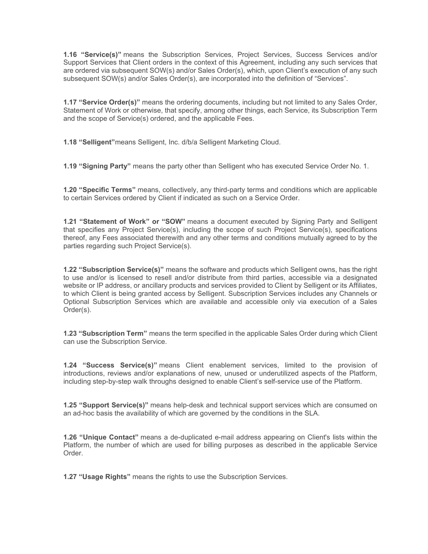**1.16 "Service(s)"** means the Subscription Services, Project Services, Success Services and/or Support Services that Client orders in the context of this Agreement, including any such services that are ordered via subsequent SOW(s) and/or Sales Order(s), which, upon Client's execution of any such subsequent SOW(s) and/or Sales Order(s), are incorporated into the definition of "Services".

**1.17 "Service Order(s)"** means the ordering documents, including but not limited to any Sales Order, Statement of Work or otherwise, that specify, among other things, each Service, its Subscription Term and the scope of Service(s) ordered, and the applicable Fees.

**1.18 "Selligent"**means Selligent, Inc. d/b/a Selligent Marketing Cloud.

**1.19 "Signing Party"** means the party other than Selligent who has executed Service Order No. 1.

**1.20 "Specific Terms"** means, collectively, any third-party terms and conditions which are applicable to certain Services ordered by Client if indicated as such on a Service Order.

**1.21 "Statement of Work" or "SOW"** means a document executed by Signing Party and Selligent that specifies any Project Service(s), including the scope of such Project Service(s), specifications thereof, any Fees associated therewith and any other terms and conditions mutually agreed to by the parties regarding such Project Service(s).

**1.22 "Subscription Service(s)"** means the software and products which Selligent owns, has the right to use and/or is licensed to resell and/or distribute from third parties, accessible via a designated website or IP address, or ancillary products and services provided to Client by Selligent or its Affiliates, to which Client is being granted access by Selligent. Subscription Services includes any Channels or Optional Subscription Services which are available and accessible only via execution of a Sales Order(s).

**1.23 "Subscription Term"** means the term specified in the applicable Sales Order during which Client can use the Subscription Service.

**1.24 "Success Service(s)"** means Client enablement services, limited to the provision of introductions, reviews and/or explanations of new, unused or underutilized aspects of the Platform, including step-by-step walk throughs designed to enable Client's self-service use of the Platform.

**1.25 "Support Service(s)"** means help-desk and technical support services which are consumed on an ad-hoc basis the availability of which are governed by the conditions in the SLA.

**1.26 "Unique Contact"** means a de-duplicated e-mail address appearing on Client's lists within the Platform, the number of which are used for billing purposes as described in the applicable Service Order.

**1.27 "Usage Rights"** means the rights to use the Subscription Services.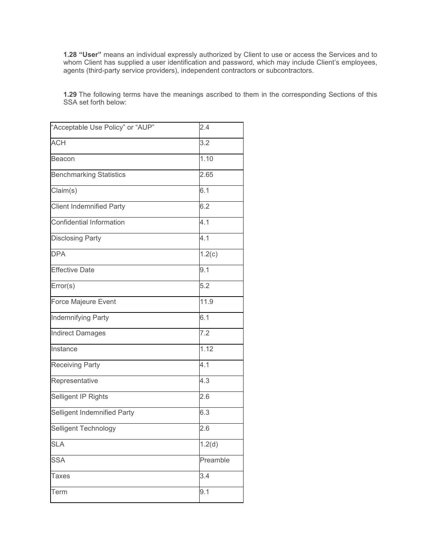**1.28 "User"** means an individual expressly authorized by Client to use or access the Services and to whom Client has supplied a user identification and password, which may include Client's employees, agents (third-party service providers), independent contractors or subcontractors.

**1.29** The following terms have the meanings ascribed to them in the corresponding Sections of this SSA set forth below:

| "Acceptable Use Policy" or "AUP" | 2.4      |
|----------------------------------|----------|
| <b>ACH</b>                       | 3.2      |
| Beacon                           | 1.10     |
| <b>Benchmarking Statistics</b>   | 2.65     |
| Claim(s)                         | 6.1      |
| <b>Client Indemnified Party</b>  | 6.2      |
| Confidential Information         | 4.1      |
| <b>Disclosing Party</b>          | 4.1      |
| <b>DPA</b>                       | 1.2(c)   |
| <b>Effective Date</b>            | 9.1      |
| Error(s)                         | 5.2      |
| <b>Force Majeure Event</b>       | 11.9     |
| Indemnifying Party               | 6.1      |
| <b>Indirect Damages</b>          | 7.2      |
| Instance                         | 1.12     |
| <b>Receiving Party</b>           | 4.1      |
| Representative                   | 4.3      |
| Selligent IP Rights              | 2.6      |
| Selligent Indemnified Party      | 6.3      |
| Selligent Technology             | 2.6      |
| <b>SLA</b>                       | 1.2(d)   |
| <b>SSA</b>                       | Preamble |
| Taxes                            | 3.4      |
| Term                             | 9.1      |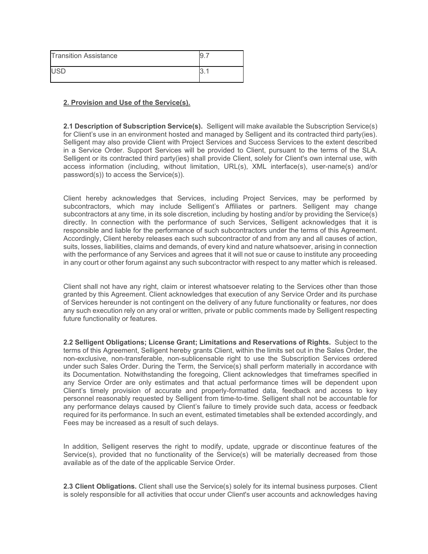| <b>Transition Assistance</b> |  |
|------------------------------|--|
| <b>LISD</b>                  |  |

### **2. Provision and Use of the Service(s).**

**2.1 Description of Subscription Service(s).** Selligent will make available the Subscription Service(s) for Client's use in an environment hosted and managed by Selligent and its contracted third party(ies). Selligent may also provide Client with Project Services and Success Services to the extent described in a Service Order. Support Services will be provided to Client, pursuant to the terms of the SLA. Selligent or its contracted third party(ies) shall provide Client, solely for Client's own internal use, with access information (including, without limitation, URL(s), XML interface(s), user-name(s) and/or password(s)) to access the Service(s)).

Client hereby acknowledges that Services, including Project Services, may be performed by subcontractors, which may include Selligent's Affiliates or partners. Selligent may change subcontractors at any time, in its sole discretion, including by hosting and/or by providing the Service(s) directly. In connection with the performance of such Services, Selligent acknowledges that it is responsible and liable for the performance of such subcontractors under the terms of this Agreement. Accordingly, Client hereby releases each such subcontractor of and from any and all causes of action, suits, losses, liabilities, claims and demands, of every kind and nature whatsoever, arising in connection with the performance of any Services and agrees that it will not sue or cause to institute any proceeding in any court or other forum against any such subcontractor with respect to any matter which is released.

Client shall not have any right, claim or interest whatsoever relating to the Services other than those granted by this Agreement. Client acknowledges that execution of any Service Order and its purchase of Services hereunder is not contingent on the delivery of any future functionality or features, nor does any such execution rely on any oral or written, private or public comments made by Selligent respecting future functionality or features.

**2.2 Selligent Obligations; License Grant; Limitations and Reservations of Rights.** Subject to the terms of this Agreement, Selligent hereby grants Client, within the limits set out in the Sales Order, the non-exclusive, non-transferable, non-sublicensable right to use the Subscription Services ordered under such Sales Order. During the Term, the Service(s) shall perform materially in accordance with its Documentation. Notwithstanding the foregoing, Client acknowledges that timeframes specified in any Service Order are only estimates and that actual performance times will be dependent upon Client's timely provision of accurate and properly-formatted data, feedback and access to key personnel reasonably requested by Selligent from time-to-time. Selligent shall not be accountable for any performance delays caused by Client's failure to timely provide such data, access or feedback required for its performance. In such an event, estimated timetables shall be extended accordingly, and Fees may be increased as a result of such delays.

In addition, Selligent reserves the right to modify, update, upgrade or discontinue features of the Service(s), provided that no functionality of the Service(s) will be materially decreased from those available as of the date of the applicable Service Order.

**2.3 Client Obligations.** Client shall use the Service(s) solely for its internal business purposes. Client is solely responsible for all activities that occur under Client's user accounts and acknowledges having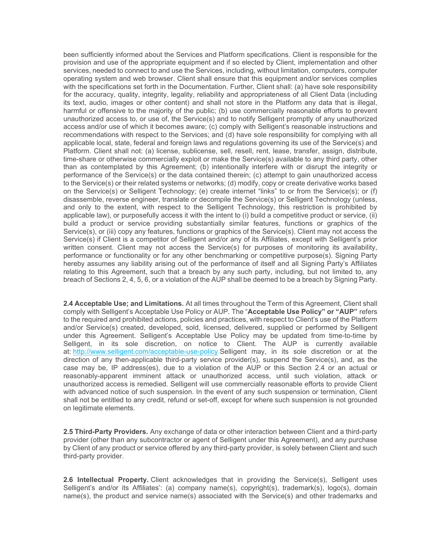been sufficiently informed about the Services and Platform specifications. Client is responsible for the provision and use of the appropriate equipment and if so elected by Client, implementation and other services, needed to connect to and use the Services, including, without limitation, computers, computer operating system and web browser. Client shall ensure that this equipment and/or services complies with the specifications set forth in the Documentation. Further, Client shall: (a) have sole responsibility for the accuracy, quality, integrity, legality, reliability and appropriateness of all Client Data (including its text, audio, images or other content) and shall not store in the Platform any data that is illegal, harmful or offensive to the majority of the public; (b) use commercially reasonable efforts to prevent unauthorized access to, or use of, the Service(s) and to notify Selligent promptly of any unauthorized access and/or use of which it becomes aware; (c) comply with Selligent's reasonable instructions and recommendations with respect to the Services; and (d) have sole responsibility for complying with all applicable local, state, federal and foreign laws and regulations governing its use of the Service(s) and Platform. Client shall not: (a) license, sublicense, sell, resell, rent, lease, transfer, assign, distribute, time-share or otherwise commercially exploit or make the Service(s) available to any third party, other than as contemplated by this Agreement; (b) intentionally interfere with or disrupt the integrity or performance of the Service(s) or the data contained therein; (c) attempt to gain unauthorized access to the Service(s) or their related systems or networks; (d) modify, copy or create derivative works based on the Service(s) or Selligent Technology; (e) create internet "links" to or from the Service(s); or (f) disassemble, reverse engineer, translate or decompile the Service(s) or Selligent Technology (unless, and only to the extent, with respect to the Selligent Technology, this restriction is prohibited by applicable law), or purposefully access it with the intent to (i) build a competitive product or service, (ii) build a product or service providing substantially similar features, functions or graphics of the Service(s), or (iii) copy any features, functions or graphics of the Service(s). Client may not access the Service(s) if Client is a competitor of Selligent and/or any of its Affiliates, except with Selligent's prior written consent. Client may not access the Service(s) for purposes of monitoring its availability, performance or functionality or for any other benchmarking or competitive purpose(s). Signing Party hereby assumes any liability arising out of the performance of itself and all Signing Party's Affiliates relating to this Agreement, such that a breach by any such party, including, but not limited to, any breach of Sections 2, 4, 5, 6, or a violation of the AUP shall be deemed to be a breach by Signing Party.

**2.4 Acceptable Use; and Limitations.** At all times throughout the Term of this Agreement, Client shall comply with Selligent's Acceptable Use Policy or AUP. The "**Acceptable Use Policy" or "AUP"** refers to the required and prohibited actions, policies and practices, with respect to Client's use of the Platform and/or Service(s) created, developed, sold, licensed, delivered, supplied or performed by Selligent under this Agreement. Selligent's Acceptable Use Policy may be updated from time-to-time by Selligent, in its sole discretion, on notice to Client. The AUP is currently available at: <http://www.selligent.com/acceptable-use-policy> Selligent may, in its sole discretion or at the direction of any then-applicable third-party service provider(s), suspend the Service(s), and, as the case may be, IP address(es), due to a violation of the AUP or this Section 2.4 or an actual or reasonably-apparent imminent attack or unauthorized access, until such violation, attack or unauthorized access is remedied. Selligent will use commercially reasonable efforts to provide Client with advanced notice of such suspension. In the event of any such suspension or termination, Client shall not be entitled to any credit, refund or set-off, except for where such suspension is not grounded on legitimate elements.

**2.5 Third-Party Providers.** Any exchange of data or other interaction between Client and a third-party provider (other than any subcontractor or agent of Selligent under this Agreement), and any purchase by Client of any product or service offered by any third-party provider, is solely between Client and such third-party provider.

**2.6 Intellectual Property.** Client acknowledges that in providing the Service(s), Selligent uses Selligent's and/or its Affiliates': (a) company name(s), copyright(s), trademark(s), logo(s), domain name(s), the product and service name(s) associated with the Service(s) and other trademarks and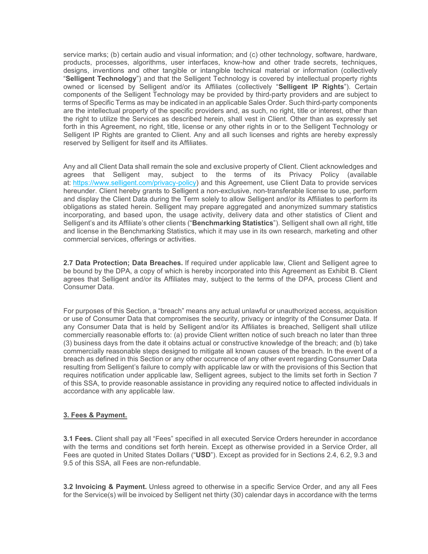service marks; (b) certain audio and visual information; and (c) other technology, software, hardware, products, processes, algorithms, user interfaces, know-how and other trade secrets, techniques, designs, inventions and other tangible or intangible technical material or information (collectively "**Selligent Technology**") and that the Selligent Technology is covered by intellectual property rights owned or licensed by Selligent and/or its Affiliates (collectively "**Selligent IP Rights**"). Certain components of the Selligent Technology may be provided by third-party providers and are subject to terms of Specific Terms as may be indicated in an applicable Sales Order. Such third-party components are the intellectual property of the specific providers and, as such, no right, title or interest, other than the right to utilize the Services as described herein, shall vest in Client. Other than as expressly set forth in this Agreement, no right, title, license or any other rights in or to the Selligent Technology or Selligent IP Rights are granted to Client. Any and all such licenses and rights are hereby expressly reserved by Selligent for itself and its Affiliates.

Any and all Client Data shall remain the sole and exclusive property of Client. Client acknowledges and agrees that Selligent may, subject to the terms of its Privacy Policy (available at: [https://www.selligent.com/privacy-policy\)](https://www.selligent.com/privacy-policy) and this Agreement, use Client Data to provide services hereunder. Client hereby grants to Selligent a non-exclusive, non-transferable license to use, perform and display the Client Data during the Term solely to allow Selligent and/or its Affiliates to perform its obligations as stated herein. Selligent may prepare aggregated and anonymized summary statistics incorporating, and based upon, the usage activity, delivery data and other statistics of Client and Selligent's and its Affiliate's other clients ("**Benchmarking Statistics**"). Selligent shall own all right, title and license in the Benchmarking Statistics, which it may use in its own research, marketing and other commercial services, offerings or activities.

**2.7 Data Protection; Data Breaches.** If required under applicable law, Client and Selligent agree to be bound by the DPA, a copy of which is hereby incorporated into this Agreement as Exhibit B. Client agrees that Selligent and/or its Affiliates may, subject to the terms of the DPA, process Client and Consumer Data.

For purposes of this Section, a "breach" means any actual unlawful or unauthorized access, acquisition or use of Consumer Data that compromises the security, privacy or integrity of the Consumer Data. If any Consumer Data that is held by Selligent and/or its Affiliates is breached, Selligent shall utilize commercially reasonable efforts to: (a) provide Client written notice of such breach no later than three (3) business days from the date it obtains actual or constructive knowledge of the breach; and (b) take commercially reasonable steps designed to mitigate all known causes of the breach. In the event of a breach as defined in this Section or any other occurrence of any other event regarding Consumer Data resulting from Selligent's failure to comply with applicable law or with the provisions of this Section that requires notification under applicable law, Selligent agrees, subject to the limits set forth in Section 7 of this SSA, to provide reasonable assistance in providing any required notice to affected individuals in accordance with any applicable law.

#### **3. Fees & Payment.**

**3.1 Fees.** Client shall pay all "Fees" specified in all executed Service Orders hereunder in accordance with the terms and conditions set forth herein. Except as otherwise provided in a Service Order, all Fees are quoted in United States Dollars ("**USD**"). Except as provided for in Sections 2.4, 6.2, 9.3 and 9.5 of this SSA, all Fees are non-refundable.

**3.2 Invoicing & Payment.** Unless agreed to otherwise in a specific Service Order, and any all Fees for the Service(s) will be invoiced by Selligent net thirty (30) calendar days in accordance with the terms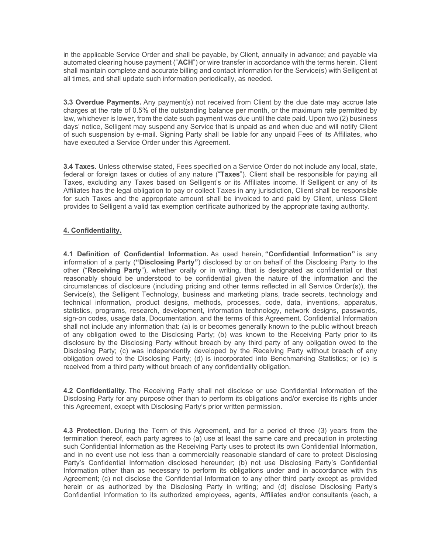in the applicable Service Order and shall be payable, by Client, annually in advance; and payable via automated clearing house payment ("**ACH**") or wire transfer in accordance with the terms herein. Client shall maintain complete and accurate billing and contact information for the Service(s) with Selligent at all times, and shall update such information periodically, as needed.

**3.3 Overdue Payments.** Any payment(s) not received from Client by the due date may accrue late charges at the rate of 0.5% of the outstanding balance per month, or the maximum rate permitted by law, whichever is lower, from the date such payment was due until the date paid. Upon two (2) business days' notice, Selligent may suspend any Service that is unpaid as and when due and will notify Client of such suspension by e-mail. Signing Party shall be liable for any unpaid Fees of its Affiliates, who have executed a Service Order under this Agreement.

**3.4 Taxes.** Unless otherwise stated, Fees specified on a Service Order do not include any local, state, federal or foreign taxes or duties of any nature ("**Taxes**"). Client shall be responsible for paying all Taxes, excluding any Taxes based on Selligent's or its Affiliates income. If Selligent or any of its Affiliates has the legal obligation to pay or collect Taxes in any jurisdiction, Client shall be responsible for such Taxes and the appropriate amount shall be invoiced to and paid by Client, unless Client provides to Selligent a valid tax exemption certificate authorized by the appropriate taxing authority.

## **4. Confidentiality.**

**4.1 Definition of Confidential Information.** As used herein, **"Confidential Information"** is any information of a party (**"Disclosing Party"**) disclosed by or on behalf of the Disclosing Party to the other ("**Receiving Party**"), whether orally or in writing, that is designated as confidential or that reasonably should be understood to be confidential given the nature of the information and the circumstances of disclosure (including pricing and other terms reflected in all Service Order(s)), the Service(s), the Selligent Technology, business and marketing plans, trade secrets, technology and technical information, product designs, methods, processes, code, data, inventions, apparatus, statistics, programs, research, development, information technology, network designs, passwords, sign-on codes, usage data, Documentation, and the terms of this Agreement. Confidential Information shall not include any information that: (a) is or becomes generally known to the public without breach of any obligation owed to the Disclosing Party; (b) was known to the Receiving Party prior to its disclosure by the Disclosing Party without breach by any third party of any obligation owed to the Disclosing Party; (c) was independently developed by the Receiving Party without breach of any obligation owed to the Disclosing Party; (d) is incorporated into Benchmarking Statistics; or (e) is received from a third party without breach of any confidentiality obligation.

**4.2 Confidentiality.** The Receiving Party shall not disclose or use Confidential Information of the Disclosing Party for any purpose other than to perform its obligations and/or exercise its rights under this Agreement, except with Disclosing Party's prior written permission.

**4.3 Protection.** During the Term of this Agreement, and for a period of three (3) years from the termination thereof, each party agrees to (a) use at least the same care and precaution in protecting such Confidential Information as the Receiving Party uses to protect its own Confidential Information, and in no event use not less than a commercially reasonable standard of care to protect Disclosing Party's Confidential Information disclosed hereunder; (b) not use Disclosing Party's Confidential Information other than as necessary to perform its obligations under and in accordance with this Agreement; (c) not disclose the Confidential Information to any other third party except as provided herein or as authorized by the Disclosing Party in writing; and (d) disclose Disclosing Party's Confidential Information to its authorized employees, agents, Affiliates and/or consultants (each, a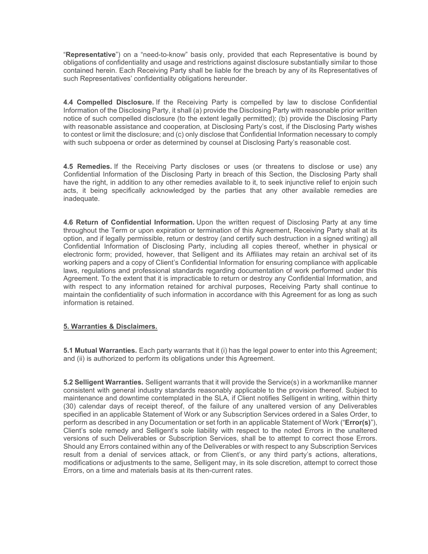"**Representative**") on a "need-to-know" basis only, provided that each Representative is bound by obligations of confidentiality and usage and restrictions against disclosure substantially similar to those contained herein. Each Receiving Party shall be liable for the breach by any of its Representatives of such Representatives' confidentiality obligations hereunder.

**4.4 Compelled Disclosure.** If the Receiving Party is compelled by law to disclose Confidential Information of the Disclosing Party, it shall (a) provide the Disclosing Party with reasonable prior written notice of such compelled disclosure (to the extent legally permitted); (b) provide the Disclosing Party with reasonable assistance and cooperation, at Disclosing Party's cost, if the Disclosing Party wishes to contest or limit the disclosure; and (c) only disclose that Confidential Information necessary to comply with such subpoena or order as determined by counsel at Disclosing Party's reasonable cost.

**4.5 Remedies.** If the Receiving Party discloses or uses (or threatens to disclose or use) any Confidential Information of the Disclosing Party in breach of this Section, the Disclosing Party shall have the right, in addition to any other remedies available to it, to seek injunctive relief to enjoin such acts, it being specifically acknowledged by the parties that any other available remedies are inadequate.

**4.6 Return of Confidential Information.** Upon the written request of Disclosing Party at any time throughout the Term or upon expiration or termination of this Agreement, Receiving Party shall at its option, and if legally permissible, return or destroy (and certify such destruction in a signed writing) all Confidential Information of Disclosing Party, including all copies thereof, whether in physical or electronic form; provided, however, that Selligent and its Affiliates may retain an archival set of its working papers and a copy of Client's Confidential Information for ensuring compliance with applicable laws, regulations and professional standards regarding documentation of work performed under this Agreement. To the extent that it is impracticable to return or destroy any Confidential Information, and with respect to any information retained for archival purposes, Receiving Party shall continue to maintain the confidentiality of such information in accordance with this Agreement for as long as such information is retained.

## **5. Warranties & Disclaimers.**

**5.1 Mutual Warranties.** Each party warrants that it (i) has the legal power to enter into this Agreement; and (ii) is authorized to perform its obligations under this Agreement.

**5.2 Selligent Warranties.** Selligent warrants that it will provide the Service(s) in a workmanlike manner consistent with general industry standards reasonably applicable to the provision thereof. Subject to maintenance and downtime contemplated in the SLA, if Client notifies Selligent in writing, within thirty (30) calendar days of receipt thereof, of the failure of any unaltered version of any Deliverables specified in an applicable Statement of Work or any Subscription Services ordered in a Sales Order, to perform as described in any Documentation or set forth in an applicable Statement of Work ("**Error(s)**"), Client's sole remedy and Selligent's sole liability with respect to the noted Errors in the unaltered versions of such Deliverables or Subscription Services, shall be to attempt to correct those Errors. Should any Errors contained within any of the Deliverables or with respect to any Subscription Services result from a denial of services attack, or from Client's, or any third party's actions, alterations, modifications or adjustments to the same, Selligent may, in its sole discretion, attempt to correct those Errors, on a time and materials basis at its then-current rates.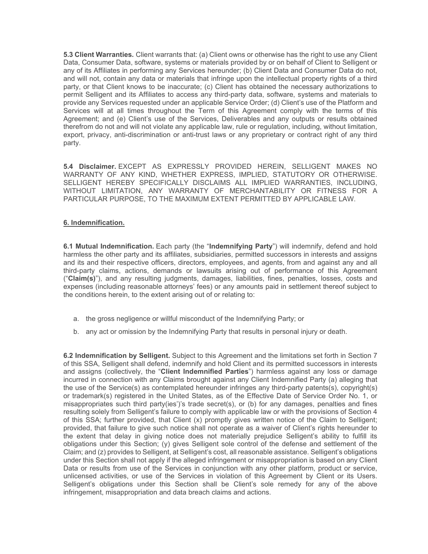**5.3 Client Warranties.** Client warrants that: (a) Client owns or otherwise has the right to use any Client Data, Consumer Data, software, systems or materials provided by or on behalf of Client to Selligent or any of its Affiliates in performing any Services hereunder; (b) Client Data and Consumer Data do not, and will not, contain any data or materials that infringe upon the intellectual property rights of a third party, or that Client knows to be inaccurate; (c) Client has obtained the necessary authorizations to permit Selligent and its Affiliates to access any third-party data, software, systems and materials to provide any Services requested under an applicable Service Order; (d) Client's use of the Platform and Services will at all times throughout the Term of this Agreement comply with the terms of this Agreement; and (e) Client's use of the Services, Deliverables and any outputs or results obtained therefrom do not and will not violate any applicable law, rule or regulation, including, without limitation, export, privacy, anti-discrimination or anti-trust laws or any proprietary or contract right of any third party.

**5.4 Disclaimer.** EXCEPT AS EXPRESSLY PROVIDED HEREIN, SELLIGENT MAKES NO WARRANTY OF ANY KIND, WHETHER EXPRESS, IMPLIED, STATUTORY OR OTHERWISE. SELLIGENT HEREBY SPECIFICALLY DISCLAIMS ALL IMPLIED WARRANTIES, INCLUDING, WITHOUT LIMITATION, ANY WARRANTY OF MERCHANTABILITY OR FITNESS FOR A PARTICULAR PURPOSE, TO THE MAXIMUM EXTENT PERMITTED BY APPLICABLE LAW.

### **6. Indemnification.**

**6.1 Mutual Indemnification.** Each party (the "**Indemnifying Party**") will indemnify, defend and hold harmless the other party and its affiliates, subsidiaries, permitted successors in interests and assigns and its and their respective officers, directors, employees, and agents, from and against any and all third-party claims, actions, demands or lawsuits arising out of performance of this Agreement ("**Claim(s)**"), and any resulting judgments, damages, liabilities, fines, penalties, losses, costs and expenses (including reasonable attorneys' fees) or any amounts paid in settlement thereof subject to the conditions herein, to the extent arising out of or relating to:

- a. the gross negligence or willful misconduct of the Indemnifying Party; or
- b. any act or omission by the Indemnifying Party that results in personal injury or death.

**6.2 Indemnification by Selligent.** Subject to this Agreement and the limitations set forth in Section 7 of this SSA, Selligent shall defend, indemnify and hold Client and its permitted successors in interests and assigns (collectively, the "**Client Indemnified Parties**") harmless against any loss or damage incurred in connection with any Claims brought against any Client Indemnified Party (a) alleging that the use of the Service(s) as contemplated hereunder infringes any third-party patents(s), copyright(s) or trademark(s) registered in the United States, as of the Effective Date of Service Order No. 1, or misappropriates such third party(ies')'s trade secret(s), or (b) for any damages, penalties and fines resulting solely from Selligent's failure to comply with applicable law or with the provisions of Section 4 of this SSA; further provided, that Client (x) promptly gives written notice of the Claim to Selligent; provided, that failure to give such notice shall not operate as a waiver of Client's rights hereunder to the extent that delay in giving notice does not materially prejudice Selligent's ability to fulfill its obligations under this Section; (y) gives Selligent sole control of the defense and settlement of the Claim; and (z) provides to Selligent, at Selligent's cost, all reasonable assistance. Selligent's obligations under this Section shall not apply if the alleged infringement or misappropriation is based on any Client Data or results from use of the Services in conjunction with any other platform, product or service, unlicensed activities, or use of the Services in violation of this Agreement by Client or its Users. Selligent's obligations under this Section shall be Client's sole remedy for any of the above infringement, misappropriation and data breach claims and actions.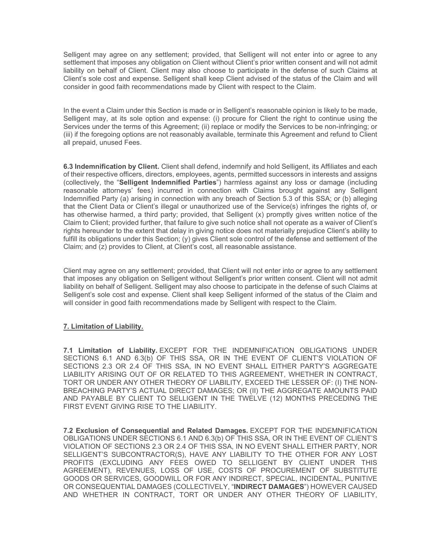Selligent may agree on any settlement; provided, that Selligent will not enter into or agree to any settlement that imposes any obligation on Client without Client's prior written consent and will not admit liability on behalf of Client. Client may also choose to participate in the defense of such Claims at Client's sole cost and expense. Selligent shall keep Client advised of the status of the Claim and will consider in good faith recommendations made by Client with respect to the Claim.

In the event a Claim under this Section is made or in Selligent's reasonable opinion is likely to be made, Selligent may, at its sole option and expense: (i) procure for Client the right to continue using the Services under the terms of this Agreement; (ii) replace or modify the Services to be non-infringing; or (iii) if the foregoing options are not reasonably available, terminate this Agreement and refund to Client all prepaid, unused Fees.

**6.3 Indemnification by Client.** Client shall defend, indemnify and hold Selligent, its Affiliates and each of their respective officers, directors, employees, agents, permitted successors in interests and assigns (collectively, the "**Selligent Indemnified Parties**") harmless against any loss or damage (including reasonable attorneys' fees) incurred in connection with Claims brought against any Selligent Indemnified Party (a) arising in connection with any breach of Section 5.3 of this SSA; or (b) alleging that the Client Data or Client's illegal or unauthorized use of the Service(s) infringes the rights of, or has otherwise harmed, a third party; provided, that Selligent (x) promptly gives written notice of the Claim to Client; provided further, that failure to give such notice shall not operate as a waiver of Client's rights hereunder to the extent that delay in giving notice does not materially prejudice Client's ability to fulfill its obligations under this Section; (y) gives Client sole control of the defense and settlement of the Claim; and (z) provides to Client, at Client's cost, all reasonable assistance.

Client may agree on any settlement; provided, that Client will not enter into or agree to any settlement that imposes any obligation on Selligent without Selligent's prior written consent. Client will not admit liability on behalf of Selligent. Selligent may also choose to participate in the defense of such Claims at Selligent's sole cost and expense. Client shall keep Selligent informed of the status of the Claim and will consider in good faith recommendations made by Selligent with respect to the Claim.

## **7. Limitation of Liability.**

**7.1 Limitation of Liability.** EXCEPT FOR THE INDEMNIFICATION OBLIGATIONS UNDER SECTIONS 6.1 AND 6.3(b) OF THIS SSA, OR IN THE EVENT OF CLIENT'S VIOLATION OF SECTIONS 2.3 OR 2.4 OF THIS SSA, IN NO EVENT SHALL EITHER PARTY'S AGGREGATE LIABILITY ARISING OUT OF OR RELATED TO THIS AGREEMENT, WHETHER IN CONTRACT, TORT OR UNDER ANY OTHER THEORY OF LIABILITY, EXCEED THE LESSER OF: (I) THE NON-BREACHING PARTY'S ACTUAL DIRECT DAMAGES; OR (II) THE AGGREGATE AMOUNTS PAID AND PAYABLE BY CLIENT TO SELLIGENT IN THE TWELVE (12) MONTHS PRECEDING THE FIRST EVENT GIVING RISE TO THE LIABILITY.

**7.2 Exclusion of Consequential and Related Damages.** EXCEPT FOR THE INDEMNIFICATION OBLIGATIONS UNDER SECTIONS 6.1 AND 6.3(b) OF THIS SSA, OR IN THE EVENT OF CLIENT'S VIOLATION OF SECTIONS 2.3 OR 2.4 OF THIS SSA, IN NO EVENT SHALL EITHER PARTY, NOR SELLIGENT'S SUBCONTRACTOR(S), HAVE ANY LIABILITY TO THE OTHER FOR ANY LOST PROFITS (EXCLUDING ANY FEES OWED TO SELLIGENT BY CLIENT UNDER THIS AGREEMENT), REVENUES, LOSS OF USE, COSTS OF PROCUREMENT OF SUBSTITUTE GOODS OR SERVICES, GOODWILL OR FOR ANY INDIRECT, SPECIAL, INCIDENTAL, PUNITIVE OR CONSEQUENTIAL DAMAGES (COLLECTIVELY, "**INDIRECT DAMAGES**") HOWEVER CAUSED AND WHETHER IN CONTRACT, TORT OR UNDER ANY OTHER THEORY OF LIABILITY,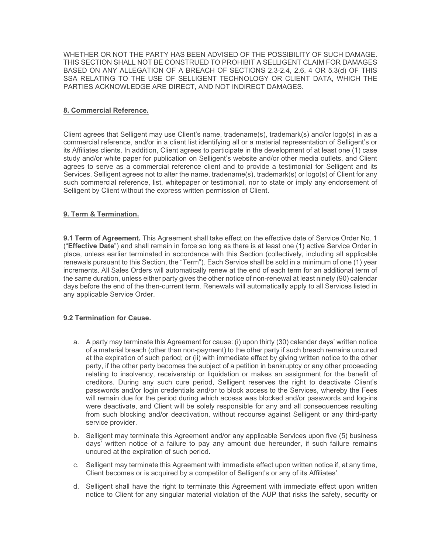WHETHER OR NOT THE PARTY HAS BEEN ADVISED OF THE POSSIBILITY OF SUCH DAMAGE. THIS SECTION SHALL NOT BE CONSTRUED TO PROHIBIT A SELLIGENT CLAIM FOR DAMAGES BASED ON ANY ALLEGATION OF A BREACH OF SECTIONS 2.3-2.4, 2.6, 4 OR 5.3(d) OF THIS SSA RELATING TO THE USE OF SELLIGENT TECHNOLOGY OR CLIENT DATA, WHICH THE PARTIES ACKNOWLEDGE ARE DIRECT, AND NOT INDIRECT DAMAGES.

### **8. Commercial Reference.**

Client agrees that Selligent may use Client's name, tradename(s), trademark(s) and/or logo(s) in as a commercial reference, and/or in a client list identifying all or a material representation of Selligent's or its Affiliates clients. In addition, Client agrees to participate in the development of at least one (1) case study and/or white paper for publication on Selligent's website and/or other media outlets, and Client agrees to serve as a commercial reference client and to provide a testimonial for Selligent and its Services. Selligent agrees not to alter the name, tradename(s), trademark(s) or logo(s) of Client for any such commercial reference, list, whitepaper or testimonial, nor to state or imply any endorsement of Selligent by Client without the express written permission of Client.

### **9. Term & Termination.**

**9.1 Term of Agreement.** This Agreement shall take effect on the effective date of Service Order No. 1 ("**Effective Date**") and shall remain in force so long as there is at least one (1) active Service Order in place, unless earlier terminated in accordance with this Section (collectively, including all applicable renewals pursuant to this Section, the "Term"). Each Service shall be sold in a minimum of one (1) year increments. All Sales Orders will automatically renew at the end of each term for an additional term of the same duration, unless either party gives the other notice of non-renewal at least ninety (90) calendar days before the end of the then-current term. Renewals will automatically apply to all Services listed in any applicable Service Order.

## **9.2 Termination for Cause.**

- a. A party may terminate this Agreement for cause: (i) upon thirty (30) calendar days' written notice of a material breach (other than non-payment) to the other party if such breach remains uncured at the expiration of such period; or (ii) with immediate effect by giving written notice to the other party, if the other party becomes the subject of a petition in bankruptcy or any other proceeding relating to insolvency, receivership or liquidation or makes an assignment for the benefit of creditors. During any such cure period, Selligent reserves the right to deactivate Client's passwords and/or login credentials and/or to block access to the Services, whereby the Fees will remain due for the period during which access was blocked and/or passwords and log-ins were deactivate, and Client will be solely responsible for any and all consequences resulting from such blocking and/or deactivation, without recourse against Selligent or any third-party service provider.
- b. Selligent may terminate this Agreement and/or any applicable Services upon five (5) business days' written notice of a failure to pay any amount due hereunder, if such failure remains uncured at the expiration of such period.
- c. Selligent may terminate this Agreement with immediate effect upon written notice if, at any time, Client becomes or is acquired by a competitor of Selligent's or any of its Affiliates'.
- d. Selligent shall have the right to terminate this Agreement with immediate effect upon written notice to Client for any singular material violation of the AUP that risks the safety, security or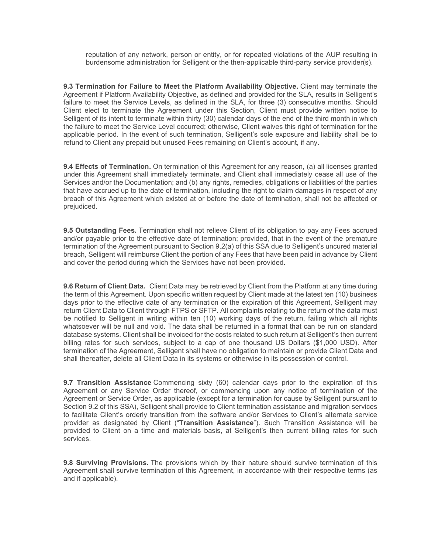reputation of any network, person or entity, or for repeated violations of the AUP resulting in burdensome administration for Selligent or the then-applicable third-party service provider(s).

**9.3 Termination for Failure to Meet the Platform Availability Objective.** Client may terminate the Agreement if Platform Availability Objective, as defined and provided for the SLA, results in Selligent's failure to meet the Service Levels, as defined in the SLA, for three (3) consecutive months. Should Client elect to terminate the Agreement under this Section, Client must provide written notice to Selligent of its intent to terminate within thirty (30) calendar days of the end of the third month in which the failure to meet the Service Level occurred; otherwise, Client waives this right of termination for the applicable period. In the event of such termination, Selligent's sole exposure and liability shall be to refund to Client any prepaid but unused Fees remaining on Client's account, if any.

**9.4 Effects of Termination.** On termination of this Agreement for any reason, (a) all licenses granted under this Agreement shall immediately terminate, and Client shall immediately cease all use of the Services and/or the Documentation; and (b) any rights, remedies, obligations or liabilities of the parties that have accrued up to the date of termination, including the right to claim damages in respect of any breach of this Agreement which existed at or before the date of termination, shall not be affected or prejudiced.

**9.5 Outstanding Fees.** Termination shall not relieve Client of its obligation to pay any Fees accrued and/or payable prior to the effective date of termination; provided, that in the event of the premature termination of the Agreement pursuant to Section 9.2(a) of this SSA due to Selligent's uncured material breach, Selligent will reimburse Client the portion of any Fees that have been paid in advance by Client and cover the period during which the Services have not been provided.

**9.6 Return of Client Data.** Client Data may be retrieved by Client from the Platform at any time during the term of this Agreement. Upon specific written request by Client made at the latest ten (10) business days prior to the effective date of any termination or the expiration of this Agreement, Selligent may return Client Data to Client through FTPS or SFTP. All complaints relating to the return of the data must be notified to Selligent in writing within ten (10) working days of the return, failing which all rights whatsoever will be null and void. The data shall be returned in a format that can be run on standard database systems. Client shall be invoiced for the costs related to such return at Selligent's then current billing rates for such services, subject to a cap of one thousand US Dollars (\$1,000 USD). After termination of the Agreement, Selligent shall have no obligation to maintain or provide Client Data and shall thereafter, delete all Client Data in its systems or otherwise in its possession or control.

**9.7 Transition Assistance** Commencing sixty (60) calendar days prior to the expiration of this Agreement or any Service Order thereof, or commencing upon any notice of termination of the Agreement or Service Order, as applicable (except for a termination for cause by Selligent pursuant to Section 9.2 of this SSA), Selligent shall provide to Client termination assistance and migration services to facilitate Client's orderly transition from the software and/or Services to Client's alternate service provider as designated by Client ("**Transition Assistance**"). Such Transition Assistance will be provided to Client on a time and materials basis, at Selligent's then current billing rates for such services.

**9.8 Surviving Provisions.** The provisions which by their nature should survive termination of this Agreement shall survive termination of this Agreement, in accordance with their respective terms (as and if applicable).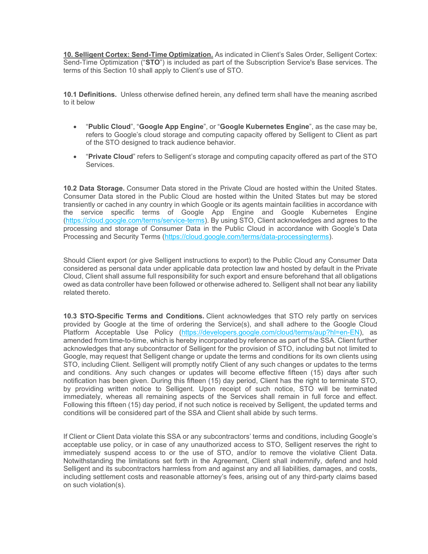**10. Selligent Cortex: Send-Time Optimization.** As indicated in Client's Sales Order, Selligent Cortex: Send-Time Optimization ("**STO**") is included as part of the Subscription Service's Base services. The terms of this Section 10 shall apply to Client's use of STO.

**10.1 Definitions.** Unless otherwise defined herein, any defined term shall have the meaning ascribed to it below

- "**Public Cloud**", "**Google App Engine**", or "**Google Kubernetes Engine**", as the case may be, refers to Google's cloud storage and computing capacity offered by Selligent to Client as part of the STO designed to track audience behavior.
- "**Private Cloud**" refers to Selligent's storage and computing capacity offered as part of the STO Services.

**10.2 Data Storage.** Consumer Data stored in the Private Cloud are hosted within the United States. Consumer Data stored in the Public Cloud are hosted within the United States but may be stored transiently or cached in any country in which Google or its agents maintain facilities in accordance with the service specific terms of Google App Engine and Google Kubernetes Engine [\(https://cloud.google.com/terms/service-terms\)](https://cloud.google.com/terms/service-terms). By using STO, Client acknowledges and agrees to the processing and storage of Consumer Data in the Public Cloud in accordance with Google's Data Processing and Security Terms [\(https://cloud.google.com/terms/data-processingterms\)](https://cloud.google.com/terms/data-processingterms).

Should Client export (or give Selligent instructions to export) to the Public Cloud any Consumer Data considered as personal data under applicable data protection law and hosted by default in the Private Cloud, Client shall assume full responsibility for such export and ensure beforehand that all obligations owed as data controller have been followed or otherwise adhered to. Selligent shall not bear any liability related thereto.

**10.3 STO-Specific Terms and Conditions.** Client acknowledges that STO rely partly on services provided by Google at the time of ordering the Service(s), and shall adhere to the Google Cloud Platform Acceptable Use Policy [\(https://developers.google.com/cloud/terms/aup?hl=en-EN\)](https://developers.google.com/cloud/terms/aup?hl=en-EN), as amended from time-to-time, which is hereby incorporated by reference as part of the SSA. Client further acknowledges that any subcontractor of Selligent for the provision of STO, including but not limited to Google, may request that Selligent change or update the terms and conditions for its own clients using STO, including Client. Selligent will promptly notify Client of any such changes or updates to the terms and conditions. Any such changes or updates will become effective fifteen (15) days after such notification has been given. During this fifteen (15) day period, Client has the right to terminate STO, by providing written notice to Selligent. Upon receipt of such notice, STO will be terminated immediately, whereas all remaining aspects of the Services shall remain in full force and effect. Following this fifteen (15) day period, if not such notice is received by Selligent, the updated terms and conditions will be considered part of the SSA and Client shall abide by such terms.

If Client or Client Data violate this SSA or any subcontractors' terms and conditions, including Google's acceptable use policy, or in case of any unauthorized access to STO, Selligent reserves the right to immediately suspend access to or the use of STO, and/or to remove the violative Client Data. Notwithstanding the limitations set forth in the Agreement, Client shall indemnify, defend and hold Selligent and its subcontractors harmless from and against any and all liabilities, damages, and costs, including settlement costs and reasonable attorney's fees, arising out of any third-party claims based on such violation(s).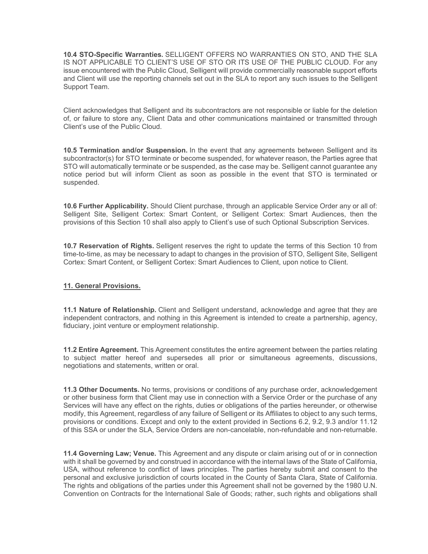**10.4 STO-Specific Warranties.** SELLIGENT OFFERS NO WARRANTIES ON STO, AND THE SLA IS NOT APPLICABLE TO CLIENT'S USE OF STO OR ITS USE OF THE PUBLIC CLOUD. For any issue encountered with the Public Cloud, Selligent will provide commercially reasonable support efforts and Client will use the reporting channels set out in the SLA to report any such issues to the Selligent Support Team.

Client acknowledges that Selligent and its subcontractors are not responsible or liable for the deletion of, or failure to store any, Client Data and other communications maintained or transmitted through Client's use of the Public Cloud.

**10.5 Termination and/or Suspension.** In the event that any agreements between Selligent and its subcontractor(s) for STO terminate or become suspended, for whatever reason, the Parties agree that STO will automatically terminate or be suspended, as the case may be. Selligent cannot guarantee any notice period but will inform Client as soon as possible in the event that STO is terminated or suspended.

**10.6 Further Applicability.** Should Client purchase, through an applicable Service Order any or all of: Selligent Site, Selligent Cortex: Smart Content, or Selligent Cortex: Smart Audiences, then the provisions of this Section 10 shall also apply to Client's use of such Optional Subscription Services.

**10.7 Reservation of Rights.** Selligent reserves the right to update the terms of this Section 10 from time-to-time, as may be necessary to adapt to changes in the provision of STO, Selligent Site, Selligent Cortex: Smart Content, or Selligent Cortex: Smart Audiences to Client, upon notice to Client.

#### **11. General Provisions.**

**11.1 Nature of Relationship.** Client and Selligent understand, acknowledge and agree that they are independent contractors, and nothing in this Agreement is intended to create a partnership, agency, fiduciary, joint venture or employment relationship.

**11.2 Entire Agreement.** This Agreement constitutes the entire agreement between the parties relating to subject matter hereof and supersedes all prior or simultaneous agreements, discussions, negotiations and statements, written or oral.

**11.3 Other Documents.** No terms, provisions or conditions of any purchase order, acknowledgement or other business form that Client may use in connection with a Service Order or the purchase of any Services will have any effect on the rights, duties or obligations of the parties hereunder, or otherwise modify, this Agreement, regardless of any failure of Selligent or its Affiliates to object to any such terms, provisions or conditions. Except and only to the extent provided in Sections 6.2, 9.2, 9.3 and/or 11.12 of this SSA or under the SLA, Service Orders are non-cancelable, non-refundable and non-returnable.

**11.4 Governing Law; Venue.** This Agreement and any dispute or claim arising out of or in connection with it shall be governed by and construed in accordance with the internal laws of the State of California, USA, without reference to conflict of laws principles. The parties hereby submit and consent to the personal and exclusive jurisdiction of courts located in the County of Santa Clara, State of California. The rights and obligations of the parties under this Agreement shall not be governed by the 1980 U.N. Convention on Contracts for the International Sale of Goods; rather, such rights and obligations shall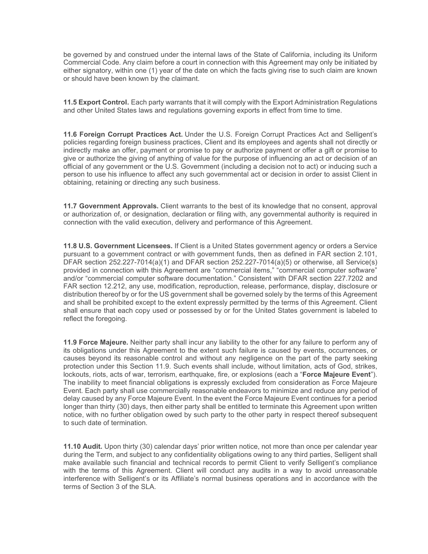be governed by and construed under the internal laws of the State of California, including its Uniform Commercial Code. Any claim before a court in connection with this Agreement may only be initiated by either signatory, within one (1) year of the date on which the facts giving rise to such claim are known or should have been known by the claimant.

**11.5 Export Control.** Each party warrants that it will comply with the Export Administration Regulations and other United States laws and regulations governing exports in effect from time to time.

**11.6 Foreign Corrupt Practices Act.** Under the U.S. Foreign Corrupt Practices Act and Selligent's policies regarding foreign business practices, Client and its employees and agents shall not directly or indirectly make an offer, payment or promise to pay or authorize payment or offer a gift or promise to give or authorize the giving of anything of value for the purpose of influencing an act or decision of an official of any government or the U.S. Government (including a decision not to act) or inducing such a person to use his influence to affect any such governmental act or decision in order to assist Client in obtaining, retaining or directing any such business.

**11.7 Government Approvals.** Client warrants to the best of its knowledge that no consent, approval or authorization of, or designation, declaration or filing with, any governmental authority is required in connection with the valid execution, delivery and performance of this Agreement.

**11.8 U.S. Government Licensees.** If Client is a United States government agency or orders a Service pursuant to a government contract or with government funds, then as defined in FAR section 2.101, DFAR section 252.227-7014(a)(1) and DFAR section 252.227-7014(a)(5) or otherwise, all Service(s) provided in connection with this Agreement are "commercial items," "commercial computer software" and/or "commercial computer software documentation." Consistent with DFAR section 227.7202 and FAR section 12.212, any use, modification, reproduction, release, performance, display, disclosure or distribution thereof by or for the US government shall be governed solely by the terms of this Agreement and shall be prohibited except to the extent expressly permitted by the terms of this Agreement. Client shall ensure that each copy used or possessed by or for the United States government is labeled to reflect the foregoing.

**11.9 Force Majeure.** Neither party shall incur any liability to the other for any failure to perform any of its obligations under this Agreement to the extent such failure is caused by events, occurrences, or causes beyond its reasonable control and without any negligence on the part of the party seeking protection under this Section 11.9. Such events shall include, without limitation, acts of God, strikes, lockouts, riots, acts of war, terrorism, earthquake, fire, or explosions (each a "**Force Majeure Event**"). The inability to meet financial obligations is expressly excluded from consideration as Force Majeure Event. Each party shall use commercially reasonable endeavors to minimize and reduce any period of delay caused by any Force Majeure Event. In the event the Force Majeure Event continues for a period longer than thirty (30) days, then either party shall be entitled to terminate this Agreement upon written notice, with no further obligation owed by such party to the other party in respect thereof subsequent to such date of termination.

**11.10 Audit.** Upon thirty (30) calendar days' prior written notice, not more than once per calendar year during the Term, and subject to any confidentiality obligations owing to any third parties, Selligent shall make available such financial and technical records to permit Client to verify Selligent's compliance with the terms of this Agreement. Client will conduct any audits in a way to avoid unreasonable interference with Selligent's or its Affiliate's normal business operations and in accordance with the terms of Section 3 of the SLA.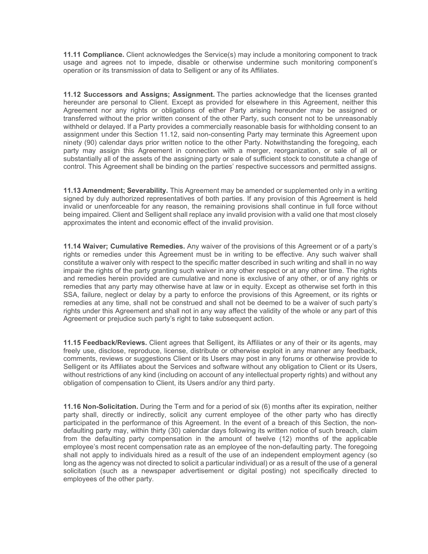**11.11 Compliance.** Client acknowledges the Service(s) may include a monitoring component to track usage and agrees not to impede, disable or otherwise undermine such monitoring component's operation or its transmission of data to Selligent or any of its Affiliates.

**11.12 Successors and Assigns; Assignment.** The parties acknowledge that the licenses granted hereunder are personal to Client. Except as provided for elsewhere in this Agreement, neither this Agreement nor any rights or obligations of either Party arising hereunder may be assigned or transferred without the prior written consent of the other Party, such consent not to be unreasonably withheld or delayed. If a Party provides a commercially reasonable basis for withholding consent to an assignment under this Section 11.12, said non-consenting Party may terminate this Agreement upon ninety (90) calendar days prior written notice to the other Party. Notwithstanding the foregoing, each party may assign this Agreement in connection with a merger, reorganization, or sale of all or substantially all of the assets of the assigning party or sale of sufficient stock to constitute a change of control. This Agreement shall be binding on the parties' respective successors and permitted assigns.

**11.13 Amendment: Severability.** This Agreement may be amended or supplemented only in a writing signed by duly authorized representatives of both parties. If any provision of this Agreement is held invalid or unenforceable for any reason, the remaining provisions shall continue in full force without being impaired. Client and Selligent shall replace any invalid provision with a valid one that most closely approximates the intent and economic effect of the invalid provision.

**11.14 Waiver; Cumulative Remedies.** Any waiver of the provisions of this Agreement or of a party's rights or remedies under this Agreement must be in writing to be effective. Any such waiver shall constitute a waiver only with respect to the specific matter described in such writing and shall in no way impair the rights of the party granting such waiver in any other respect or at any other time. The rights and remedies herein provided are cumulative and none is exclusive of any other, or of any rights or remedies that any party may otherwise have at law or in equity. Except as otherwise set forth in this SSA, failure, neglect or delay by a party to enforce the provisions of this Agreement, or its rights or remedies at any time, shall not be construed and shall not be deemed to be a waiver of such party's rights under this Agreement and shall not in any way affect the validity of the whole or any part of this Agreement or prejudice such party's right to take subsequent action.

**11.15 Feedback/Reviews.** Client agrees that Selligent, its Affiliates or any of their or its agents, may freely use, disclose, reproduce, license, distribute or otherwise exploit in any manner any feedback, comments, reviews or suggestions Client or its Users may post in any forums or otherwise provide to Selligent or its Affiliates about the Services and software without any obligation to Client or its Users, without restrictions of any kind (including on account of any intellectual property rights) and without any obligation of compensation to Client, its Users and/or any third party.

**11.16 Non-Solicitation.** During the Term and for a period of six (6) months after its expiration, neither party shall, directly or indirectly, solicit any current employee of the other party who has directly participated in the performance of this Agreement. In the event of a breach of this Section, the nondefaulting party may, within thirty (30) calendar days following its written notice of such breach, claim from the defaulting party compensation in the amount of twelve (12) months of the applicable employee's most recent compensation rate as an employee of the non-defaulting party. The foregoing shall not apply to individuals hired as a result of the use of an independent employment agency (so long as the agency was not directed to solicit a particular individual) or as a result of the use of a general solicitation (such as a newspaper advertisement or digital posting) not specifically directed to employees of the other party.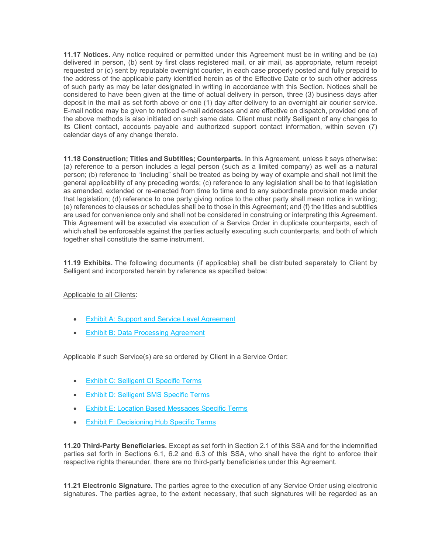**11.17 Notices.** Any notice required or permitted under this Agreement must be in writing and be (a) delivered in person, (b) sent by first class registered mail, or air mail, as appropriate, return receipt requested or (c) sent by reputable overnight courier, in each case properly posted and fully prepaid to the address of the applicable party identified herein as of the Effective Date or to such other address of such party as may be later designated in writing in accordance with this Section. Notices shall be considered to have been given at the time of actual delivery in person, three (3) business days after deposit in the mail as set forth above or one (1) day after delivery to an overnight air courier service. E-mail notice may be given to noticed e-mail addresses and are effective on dispatch, provided one of the above methods is also initiated on such same date. Client must notify Selligent of any changes to its Client contact, accounts payable and authorized support contact information, within seven (7) calendar days of any change thereto.

**11.18 Construction; Titles and Subtitles; Counterparts.** In this Agreement, unless it says otherwise: (a) reference to a person includes a legal person (such as a limited company) as well as a natural person; (b) reference to "including" shall be treated as being by way of example and shall not limit the general applicability of any preceding words; (c) reference to any legislation shall be to that legislation as amended, extended or re-enacted from time to time and to any subordinate provision made under that legislation; (d) reference to one party giving notice to the other party shall mean notice in writing; (e) references to clauses or schedules shall be to those in this Agreement; and (f) the titles and subtitles are used for convenience only and shall not be considered in construing or interpreting this Agreement. This Agreement will be executed via execution of a Service Order in duplicate counterparts, each of which shall be enforceable against the parties actually executing such counterparts, and both of which together shall constitute the same instrument.

**11.19 Exhibits.** The following documents (if applicable) shall be distributed separately to Client by Selligent and incorporated herein by reference as specified below:

## Applicable to all Clients:

- **[Exhibit A: Support and Service Level Agreement](https://www.selligent.com/sites/default/files/legal/selligent-marketing-cloud-ssa-na-exhibit-a-support-and-service-level-agreement-01-30-2020vf.pdf)**
- **[Exhibit B: Data Processing Agreement](https://www.selligent.com/sites/default/files/legal/selligent-marketing-cloud-ssa-na-exhibit-b-data-processing-agreement-01-30-2020vf.pdf)**

Applicable if such Service(s) are so ordered by Client in a Service Order:

- [Exhibit C: Selligent CI Specific Terms](https://www.selligent.com/sites/default/files/legal/selligent-marketing-cloud-ssa-na-exhibit-c-selligent-ci-specific-agreement-01-30-2020vf.pdf)
- **[Exhibit D: Selligent SMS Specific Terms](https://www.selligent.com/sites/default/files/legal/selligent-marketing-cloud-ssa-na-exhibit-d-selligent-sms-specific-agreement-01-30-2020vf.pdf)**
- [Exhibit E: Location Based Messages Specific Terms](https://www.selligent.com/sites/default/files/legal/selligent-marketing-cloud-ssa-na-exhibit-e-location-based-messages-specific-agreement-01-30-2020vf.pdf)
- [Exhibit F: Decisioning Hub Specific Terms](https://www.selligent.com/sites/default/files/legal/selligent-marketing-cloud-ssa-na-exhibit-f-decisioning-hub-specific-agreement-01-30-2020vf.pdf)

**11.20 Third-Party Beneficiaries.** Except as set forth in Section 2.1 of this SSA and for the indemnified parties set forth in Sections 6.1, 6.2 and 6.3 of this SSA, who shall have the right to enforce their respective rights thereunder, there are no third-party beneficiaries under this Agreement.

**11.21 Electronic Signature.** The parties agree to the execution of any Service Order using electronic signatures. The parties agree, to the extent necessary, that such signatures will be regarded as an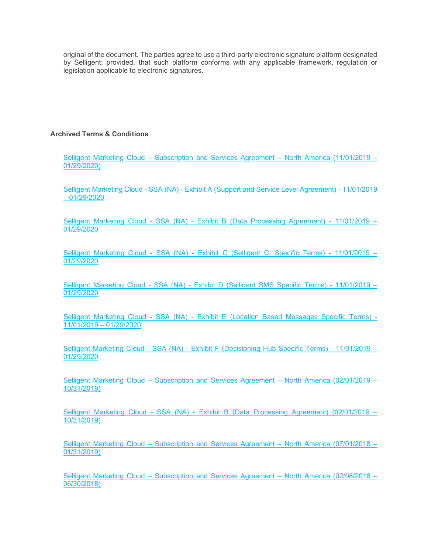original of the document. The parties agree to use a third-party electronic signature platform designated by Selligent; provided, that such platform conforms with any applicable framework, regulation or legislation applicable to electronic signatures.

# **Archived Terms & Conditions**

Selligent Marketing Cloud – [Subscription and Services Agreement –](https://www.selligent.com/sites/default/files/legal/selligent-inc-msa-nov-1-2019-jan-29-2020.pdf) North America (11/01/2019 – [01/29/2020\)](https://www.selligent.com/sites/default/files/legal/selligent-inc-msa-nov-1-2019-jan-29-2020.pdf)

Selligent Marketing Cloud - SSA (NA) - [Exhibit A \(Support and Service Level Agreement\) -](https://www.selligent.com/sites/default/files/legal/selligent-marketing-cloud-ssa-na-exhibit-a-support-and-service-level-agreement-11-01-2019vf.pdf) 11/01/2019  $-01/29/2020$  $-01/29/2020$ 

Selligent Marketing Cloud - SSA (NA) - [Exhibit B \(Data Processing Agreement\) -](https://www.selligent.com/sites/default/files/legal/selligent-marketing-cloud-ssa-na-exhibit-b-data-processing-agreement-11-01-2019vf.pdf) 11/01/2019 – [01/29/2020](https://www.selligent.com/sites/default/files/legal/selligent-marketing-cloud-ssa-na-exhibit-b-data-processing-agreement-11-01-2019vf.pdf)

Selligent Marketing Cloud - SSA (NA) - [Exhibit C \(Selligent CI Specific Terms\) -](https://www.selligent.com/sites/default/files/legal/selligent-marketing-cloud-ssa-na-exhibit-c-selligent-ci-specific-agreement-11-01-2019vf.pdf) 11/01/2019 – [01/29/2020](https://www.selligent.com/sites/default/files/legal/selligent-marketing-cloud-ssa-na-exhibit-c-selligent-ci-specific-agreement-11-01-2019vf.pdf)

Selligent Marketing Cloud - SSA (NA) - [Exhibit D \(Selligent SMS Specific Terms\) -](https://www.selligent.com/sites/default/files/legal/selligent-marketing-cloud-ssa-na-exhibit-d-selligent-sms-specific-agreement-11-01-2019vf.pdf) 11/01/2019 – [01/29/2020](https://www.selligent.com/sites/default/files/legal/selligent-marketing-cloud-ssa-na-exhibit-d-selligent-sms-specific-agreement-11-01-2019vf.pdf)

Selligent Marketing Cloud - SSA (NA) - [Exhibit E \(Location Based Messages Specific Terms\) -](https://www.selligent.com/sites/default/files/legal/selligent-marketing-cloud-ssa-na-exhibit-e-location-based-messages-specific-agreement-11-01-2019vf.pdf) [11/01/2019 –](https://www.selligent.com/sites/default/files/legal/selligent-marketing-cloud-ssa-na-exhibit-e-location-based-messages-specific-agreement-11-01-2019vf.pdf) 01/29/2020

Selligent Marketing Cloud - SSA (NA) - [Exhibit F \(Decisioning Hub Specific Terms\) -](https://www.selligent.com/sites/default/files/legal/selligent-marketing-cloud-ssa-na-exhibit-f-decisioning-hub-specific-agreement-11-01-2019vf.pdf) 11/01/2019 – [01/29/2020](https://www.selligent.com/sites/default/files/legal/selligent-marketing-cloud-ssa-na-exhibit-f-decisioning-hub-specific-agreement-11-01-2019vf.pdf)

Selligent Marketing Cloud – [Subscription and Services Agreement –](https://www.selligent.com/sites/default/files/legal/selligent-inc-msa-feb-1-2019-oct-31-2019.pdf) North America (02/01/2019 – [10/31/2019\)](https://www.selligent.com/sites/default/files/legal/selligent-inc-msa-feb-1-2019-oct-31-2019.pdf)

Selligent Marketing Cloud - SSA (NA) - Exhibit B (Data [Processing Agreement\) \(02/01/2019 –](https://www.selligent.com/sites/default/files/Selligent-Marketing-Cloud-SSA-NA-Exhibit-B-Data-Processing-Agreement-02-01-2019.pdf) [10/31/2019\)](https://www.selligent.com/sites/default/files/Selligent-Marketing-Cloud-SSA-NA-Exhibit-B-Data-Processing-Agreement-02-01-2019.pdf)

Selligent Marketing Cloud – [Subscription and Services Agreement –](https://www.selligent.com/sites/default/files/legal/selligent-inc-msa-jul-1-2018-feb-1-2019.pdf) North America (07/01/2018 – [01/31/2019\)](https://www.selligent.com/sites/default/files/legal/selligent-inc-msa-jul-1-2018-feb-1-2019.pdf)

Selligent Marketing Cloud – [Subscription and Services Agreement –](https://www.selligent.com/sites/default/files/legal/selligent-inc-msa-feb-7-2018-jul-1-2018.pdf) North America (02/08/2018 – [06/30/2018\)](https://www.selligent.com/sites/default/files/legal/selligent-inc-msa-feb-7-2018-jul-1-2018.pdf)